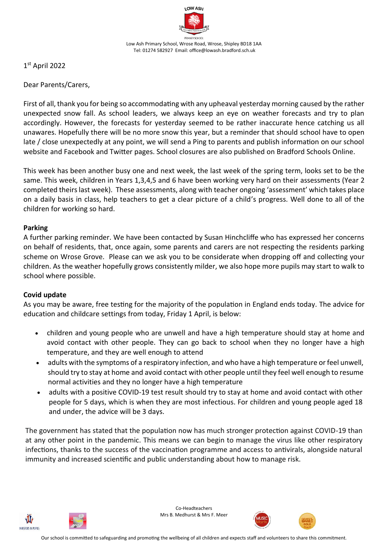

1 st April 2022

Dear Parents/Carers,

First of all, thank you for being so accommodating with any upheaval yesterday morning caused by the rather unexpected snow fall. As school leaders, we always keep an eye on weather forecasts and try to plan accordingly. However, the forecasts for yesterday seemed to be rather inaccurate hence catching us all unawares. Hopefully there will be no more snow this year, but a reminder that should school have to open late / close unexpectedly at any point, we will send a Ping to parents and publish information on our school website and Facebook and Twitter pages. School closures are also published on Bradford Schools Online.

This week has been another busy one and next week, the last week of the spring term, looks set to be the same. This week, children in Years 1,3,4,5 and 6 have been working very hard on their assessments (Year 2 completed theirs last week). These assessments, along with teacher ongoing 'assessment' which takes place on a daily basis in class, help teachers to get a clear picture of a child's progress. Well done to all of the children for working so hard.

## **Parking**

A further parking reminder. We have been contacted by Susan Hinchcliffe who has expressed her concerns on behalf of residents, that, once again, some parents and carers are not respecting the residents parking scheme on Wrose Grove. Please can we ask you to be considerate when dropping off and collecting your children. As the weather hopefully grows consistently milder, we also hope more pupils may start to walk to school where possible.

## **Covid update**

As you may be aware, free testing for the majority of the population in England ends today. The advice for education and childcare settings from today, Friday 1 April, is below:

- children and young people who are unwell and have a high temperature should stay at home and avoid contact with other people. They can go back to school when they no longer have a high temperature, and they are well enough to attend
- adults with the symptoms of a respiratory infection, and who have a high temperature or feel unwell, should try to stay at home and avoid contact with other people until they feel well enough to resume normal activities and they no longer have a high temperature
- adults with a positive COVID-19 test result should try to stay at home and avoid contact with other people for 5 days, which is when they are most infectious. For children and young people aged 18 and under, the advice will be 3 days.

The government has stated that the population now has much stronger protection against COVID-19 than at any other point in the pandemic. This means we can begin to manage the virus like other respiratory infections, thanks to the success of the vaccination programme and access to antivirals, alongside natural immunity and increased scientific and public understanding about how to manage risk.





Co-Headteachers Mrs B. Medhurst & Mrs F. Meer